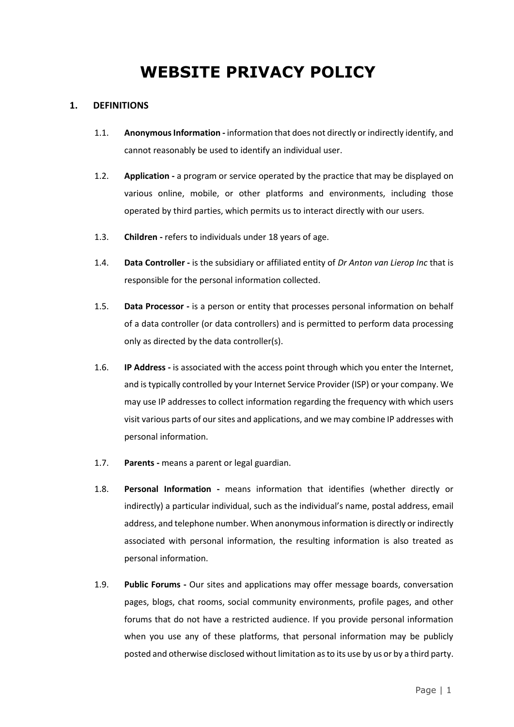# **WEBSITE PRIVACY POLICY**

## **1. DEFINITIONS**

- 1.1. **Anonymous Information -** information that does not directly or indirectly identify, and cannot reasonably be used to identify an individual user.
- 1.2. **Application -** a program or service operated by the practice that may be displayed on various online, mobile, or other platforms and environments, including those operated by third parties, which permits us to interact directly with our users.
- 1.3. **Children -** refers to individuals under 18 years of age.
- 1.4. **Data Controller -** is the subsidiary or affiliated entity of *Dr Anton van Lierop Inc* that is responsible for the personal information collected.
- 1.5. **Data Processor -** is a person or entity that processes personal information on behalf of a data controller (or data controllers) and is permitted to perform data processing only as directed by the data controller(s).
- 1.6. **IP Address -** is associated with the access point through which you enter the Internet, and is typically controlled by your Internet Service Provider (ISP) or your company. We may use IP addresses to collect information regarding the frequency with which users visit various parts of our sites and applications, and we may combine IP addresses with personal information.
- 1.7. **Parents -** means a parent or legal guardian.
- 1.8. **Personal Information -** means information that identifies (whether directly or indirectly) a particular individual, such as the individual's name, postal address, email address, and telephone number. When anonymous information is directly or indirectly associated with personal information, the resulting information is also treated as personal information.
- 1.9. **Public Forums -** Our sites and applications may offer message boards, conversation pages, blogs, chat rooms, social community environments, profile pages, and other forums that do not have a restricted audience. If you provide personal information when you use any of these platforms, that personal information may be publicly posted and otherwise disclosed without limitation as to its use by us or by a third party.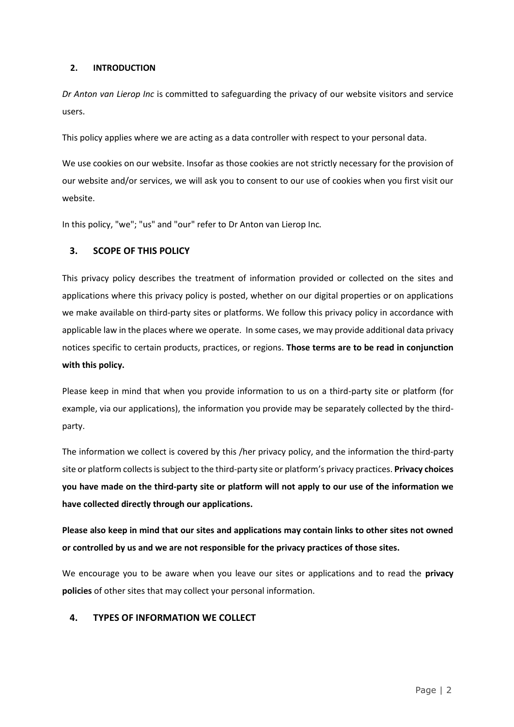#### **2. INTRODUCTION**

*Dr Anton van Lierop Inc* is committed to safeguarding the privacy of our website visitors and service users.

This policy applies where we are acting as a data controller with respect to your personal data.

We use cookies on our website. Insofar as those cookies are not strictly necessary for the provision of our website and/or services, we will ask you to consent to our use of cookies when you first visit our website.

In this policy, "we"; "us" and "our" refer to Dr Anton van Lierop Inc*.*

# **3. SCOPE OF THIS POLICY**

This privacy policy describes the treatment of information provided or collected on the sites and applications where this privacy policy is posted, whether on our digital properties or on applications we make available on third-party sites or platforms. We follow this privacy policy in accordance with applicable law in the places where we operate. In some cases, we may provide additional data privacy notices specific to certain products, practices, or regions. **Those terms are to be read in conjunction with this policy.**

Please keep in mind that when you provide information to us on a third-party site or platform (for example, via our applications), the information you provide may be separately collected by the thirdparty.

The information we collect is covered by this /her privacy policy, and the information the third-party site or platform collects is subject to the third-party site or platform's privacy practices. **Privacy choices you have made on the third-party site or platform will not apply to our use of the information we have collected directly through our applications.** 

**Please also keep in mind that our sites and applications may contain links to other sites not owned or controlled by us and we are not responsible for the privacy practices of those sites.**

We encourage you to be aware when you leave our sites or applications and to read the **privacy policies** of other sites that may collect your [personal information.](https://privacy.thewaltdisneycompany.com/en/current-privacy-policy/)

# **4. TYPES OF INFORMATION WE COLLECT**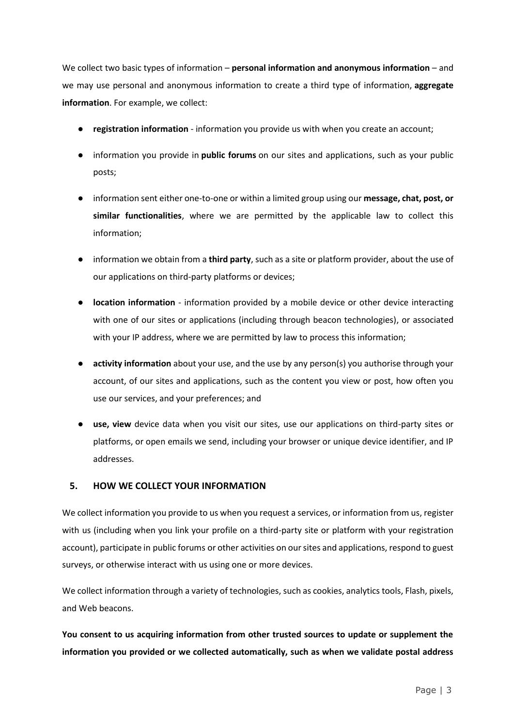We collect two basic types of information – **personal information and anonymous information** – and we may use personal and anonymous information to create a third type of information, **aggregate information**. For example, we collect:

- **registration information** information you provide us with when you create an account;
- information you provide in **public forums** on our sites and applications, such as your public posts;
- information sent either one-to-one or within a limited group using our **message, chat, post, or similar functionalities**, where we are permitted by the applicable law to collect this information;
- information we obtain from a **third party**, such as a site or platform provider, about the use of our applications on third-party platforms or devices;
- **location information** information provided by a mobile device or other device interacting with one of our sites or applications (including through beacon technologies), or associated with your IP address, where we are permitted by law to process this information;
- **activity information** about your use, and the use by any person(s) you authorise through your account, of our sites and applications, such as the content you view or post, how often you use our services, and your preferences; and
- use, view device data when you visit our sites, use our applications on third-party sites or platforms, or open emails we send, including your browser or unique device identifier, and IP addresses.

#### **5. HOW WE COLLECT YOUR INFORMATION**

We collect information you provide to us when you request a services, or information from us, register with us (including when you link your profile on a third-party site or platform with your registration account), participate in public forums or other activities on our sites and applications, respond to guest surveys, or otherwise interact with us using one or more devices.

We collect information through a variety of technologies, such as cookies, analytics tools, Flash, pixels, and Web beacons.

**You consent to us acquiring information from other trusted sources to update or supplement the information you provided or we collected automatically, such as when we validate postal address**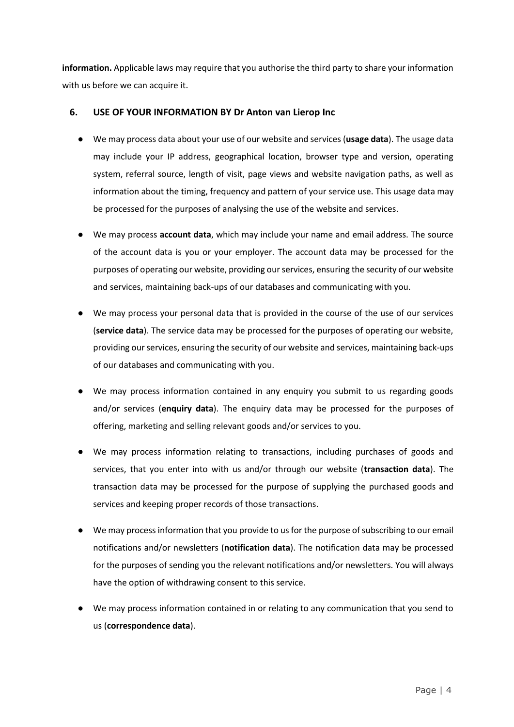**information.** Applicable laws may require that you authorise the third party to share your information with us before we can acquire it.

## **6. USE OF YOUR INFORMATION BY Dr Anton van Lierop Inc**

- We may process data about your use of our website and services (**usage data**). The usage data may include your IP address, geographical location, browser type and version, operating system, referral source, length of visit, page views and website navigation paths, as well as information about the timing, frequency and pattern of your service use. This usage data may be processed for the purposes of analysing the use of the website and services.
- We may process **account data**, which may include your name and email address. The source of the account data is you or your employer. The account data may be processed for the purposes of operating our website, providing our services, ensuring the security of our website and services, maintaining back-ups of our databases and communicating with you.
- We may process your personal data that is provided in the course of the use of our services (**service data**). The service data may be processed for the purposes of operating our website, providing our services, ensuring the security of our website and services, maintaining back-ups of our databases and communicating with you.
- We may process information contained in any enquiry you submit to us regarding goods and/or services (**enquiry data**). The enquiry data may be processed for the purposes of offering, marketing and selling relevant goods and/or services to you.
- We may process information relating to transactions, including purchases of goods and services, that you enter into with us and/or through our website (**transaction data**). The transaction data may be processed for the purpose of supplying the purchased goods and services and keeping proper records of those transactions.
- We may process information that you provide to us for the purpose of subscribing to our email notifications and/or newsletters (**notification data**). The notification data may be processed for the purposes of sending you the relevant notifications and/or newsletters. You will always have the option of withdrawing consent to this service.
- We may process information contained in or relating to any communication that you send to us (**correspondence data**).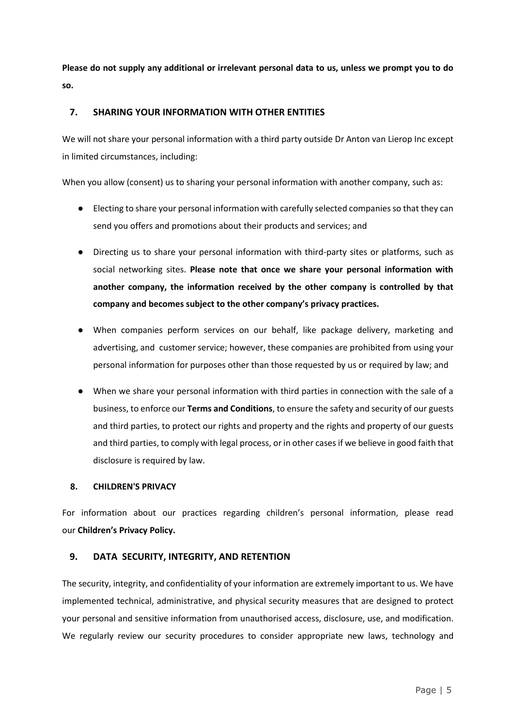**Please do not supply any additional or irrelevant personal data to us, unless we prompt you to do so.**

## **7. SHARING YOUR INFORMATION WITH OTHER ENTITIES**

We will not share your personal information with a third party outside Dr Anton van Lierop Inc except in limited circumstances, including:

When you allow (consent) us to sharing your personal information with another company, such as:

- Electing to share your personal information with carefully selected companies so that they can send you offers and promotions about their products and services; and
- Directing us to share your personal information with third-party sites or platforms, such as social networking sites. **Please note that once we share your personal information with another company, the information received by the other company is controlled by that company and becomes subject to the other company's privacy practices.**
- When companies perform services on our behalf, like package delivery, marketing and advertising, and customer service; however, these companies are prohibited from using your personal information for purposes other than those requested by us or required by law; and
- When we share your personal information with third parties in connection with the sale of a business, to enforce our **Terms and Conditions**, to ensure the safety and security of our guests and third parties, to protect our rights and property and the rights and property of our guests and third parties, to comply with legal process, or in other cases if we believe in good faith that disclosure is required by law.

#### **8. CHILDREN'S PRIVACY**

For information about our practices regarding children's personal information, please read our **Children's Privacy Policy.**

# **9. DATA SECURITY, INTEGRITY, AND RETENTION**

The security, integrity, and confidentiality of your information are extremely important to us. We have implemented technical, administrative, and physical security measures that are designed to protect your personal and sensitive information from unauthorised access, disclosure, use, and modification. We regularly review our security procedures to consider appropriate new laws, technology and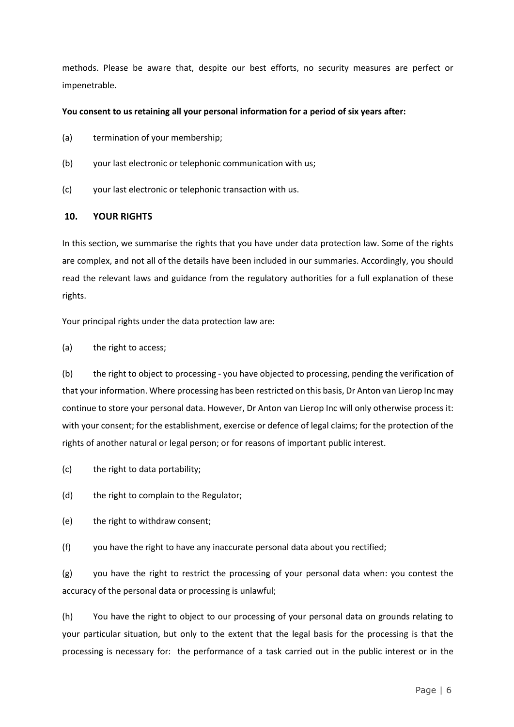methods. Please be aware that, despite our best efforts, no security measures are perfect or impenetrable.

#### **You consent to us retaining all your personal information for a period of six years after:**

- (a) termination of your membership;
- (b) your last electronic or telephonic communication with us;
- (c) your last electronic or telephonic transaction with us.

## **10. YOUR RIGHTS**

In this section, we summarise the rights that you have under data protection law. Some of the rights are complex, and not all of the details have been included in our summaries. Accordingly, you should read the relevant laws and guidance from the regulatory authorities for a full explanation of these rights.

Your principal rights under the data protection law are:

(a) the right to access;

(b) the right to object to processing - you have objected to processing, pending the verification of that your information. Where processing has been restricted on this basis, Dr Anton van Lierop Inc may continue to store your personal data. However, Dr Anton van Lierop Inc will only otherwise process it: with your consent; for the establishment, exercise or defence of legal claims; for the protection of the rights of another natural or legal person; or for reasons of important public interest.

- (c) the right to data portability;
- (d) the right to complain to the Regulator;
- (e) the right to withdraw consent;
- (f) you have the right to have any inaccurate personal data about you rectified;

(g) you have the right to restrict the processing of your personal data when: you contest the accuracy of the personal data or processing is unlawful;

(h) You have the right to object to our processing of your personal data on grounds relating to your particular situation, but only to the extent that the legal basis for the processing is that the processing is necessary for: the performance of a task carried out in the public interest or in the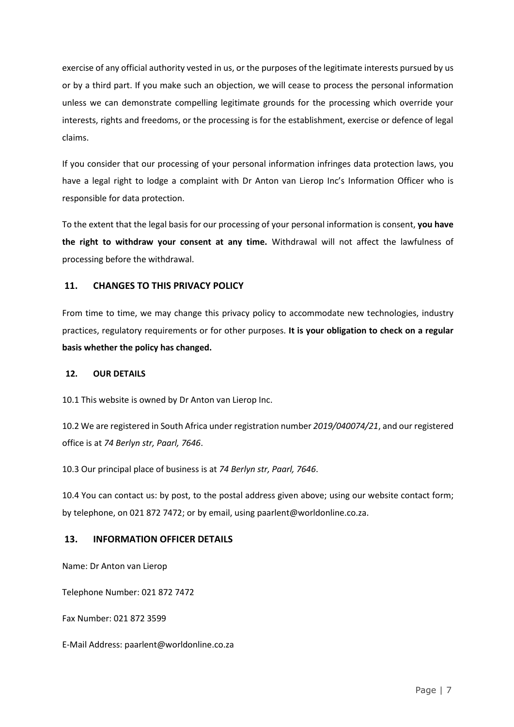exercise of any official authority vested in us, or the purposes of the legitimate interests pursued by us or by a third part. If you make such an objection, we will cease to process the personal information unless we can demonstrate compelling legitimate grounds for the processing which override your interests, rights and freedoms, or the processing is for the establishment, exercise or defence of legal claims.

If you consider that our processing of your personal information infringes data protection laws, you have a legal right to lodge a complaint with Dr Anton van Lierop Inc's Information Officer who is responsible for data protection.

To the extent that the legal basis for our processing of your personal information is consent, **you have the right to withdraw your consent at any time.** Withdrawal will not affect the lawfulness of processing before the withdrawal.

# **11. CHANGES TO THIS PRIVACY POLICY**

From time to time, we may change this privacy policy to accommodate new technologies, industry practices, regulatory requirements or for other purposes. **It is your obligation to check on a regular basis whether the policy has changed.**

#### **12. OUR DETAILS**

10.1 This website is owned by Dr Anton van Lierop Inc.

10.2 We are registered in South Africa under registration number *2019/040074/21*, and our registered office is at *74 Berlyn str, Paarl, 7646*.

10.3 Our principal place of business is at *74 Berlyn str, Paarl, 7646*.

10.4 You can contact us: by post, to the postal address given above; using our website contact form; by telephone, on 021 872 7472; or by email, using paarlent@worldonline.co.za.

# **13. INFORMATION OFFICER DETAILS**

Name: Dr Anton van Lierop

Telephone Number: 021 872 7472

Fax Number: 021 872 3599

E-Mail Address: paarlent@worldonline.co.za